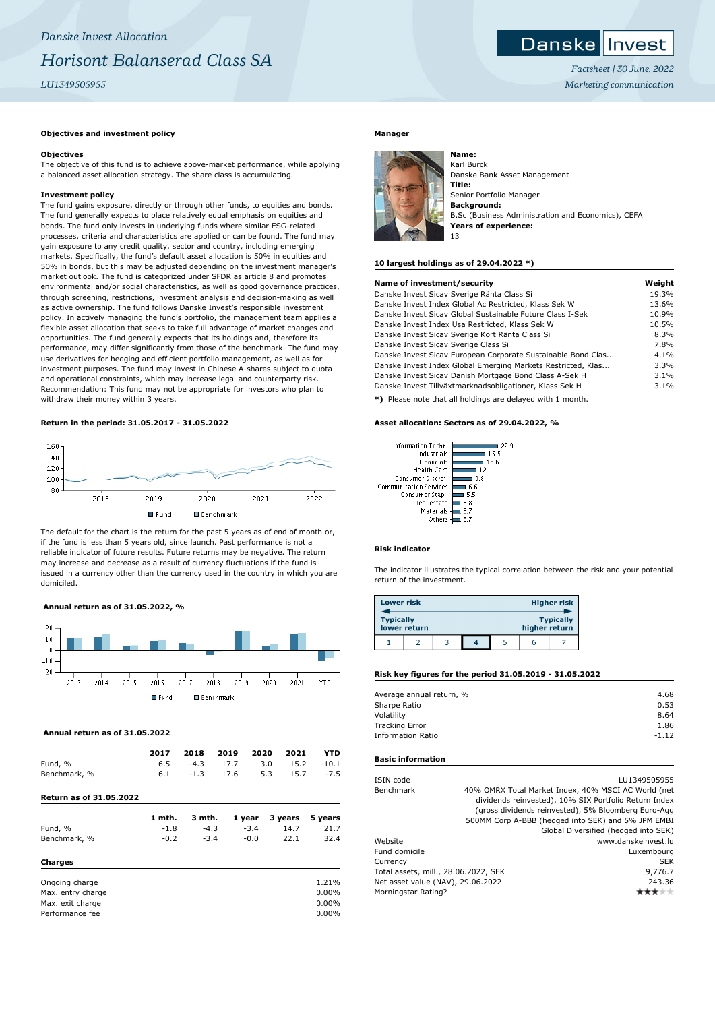#### Danske **I** Invest

*Factsheet | 30 June, 2022 Marketing communication*

# **Objectives and investment policy**

## **Objectives**

The objective of this fund is to achieve above-market performance, while applying a balanced asset allocation strategy. The share class is accumulating.

## **Investment policy**

The fund gains exposure, directly or through other funds, to equities and bonds. The fund generally expects to place relatively equal emphasis on equities and bonds. The fund only invests in underlying funds where similar ESG-related processes, criteria and characteristics are applied or can be found. The fund may gain exposure to any credit quality, sector and country, including emerging markets. Specifically, the fund's default asset allocation is 50% in equities and 50% in bonds, but this may be adjusted depending on the investment manager's market outlook. The fund is categorized under SFDR as article 8 and promotes environmental and/or social characteristics, as well as good governance practices, through screening, restrictions, investment analysis and decision-making as well as active ownership. The fund follows Danske Invest's responsible investment policy. In actively managing the fund's portfolio, the management team applies a flexible asset allocation that seeks to take full advantage of market changes and opportunities. The fund generally expects that its holdings and, therefore its performance, may differ significantly from those of the benchmark. The fund may use derivatives for hedging and efficient portfolio management, as well as for investment purposes. The fund may invest in Chinese A-shares subject to quota and operational constraints, which may increase legal and counterparty risk. Recommendation: This fund may not be appropriate for investors who plan to withdraw their money within 3 years.

## **Return in the period: 31.05.2017 - 31.05.2022**



The default for the chart is the return for the past 5 years as of end of month or, if the fund is less than 5 years old, since launch. Past performance is not a reliable indicator of future results. Future returns may be negative. The return may increase and decrease as a result of currency fluctuations if the fund is issued in a currency other than the currency used in the country in which you are domiciled.

## **Annual return as of 31.05.2022, %**



## **Annual return as of 31.05.2022**

Performance fee

| <b>Return as of 31.05.2022</b> |      |        |      |      |      |         |
|--------------------------------|------|--------|------|------|------|---------|
| Benchmark, %                   | 6.1  | $-1.3$ | 17.6 | 5.3  | 15.7 | $-7.5$  |
| Fund, %                        | 6.5  | $-4.3$ | 17.7 | 3.0  | 15.2 | $-10.1$ |
|                                | 2017 | 2018   | 2019 | 2020 | 2021 | YTD     |

|                   | 1 mth. | 3 mth. | 1 year | 3 years | 5 years |
|-------------------|--------|--------|--------|---------|---------|
| Fund, %           | $-1.8$ | $-4.3$ | $-3.4$ | 14.7    | 21.7    |
| Benchmark, %      | $-0.2$ | $-3.4$ | $-0.0$ | 22.1    | 32.4    |
| Charges           |        |        |        |         |         |
| Ongoing charge    |        |        |        |         | 1.21%   |
| Max. entry charge |        |        |        |         | 0.00%   |
| Max. exit charge  |        |        |        |         | 0.00%   |
| Performance fee   |        |        |        |         | 0.00%   |

# **Manager**



**Name:** Karl Burck Danske Bank Asset Management **Title:** Senior Portfolio Manager **Background:** B.Sc (Business Administration and Economics), CEFA **Years of experience:** 13

#### **10 largest holdings as of 29.04.2022 \*)**

| Name of investment/security                                  | Weight |
|--------------------------------------------------------------|--------|
| Danske Invest Sicav Sverige Ränta Class Si                   | 19.3%  |
| Danske Invest Index Global Ac Restricted, Klass Sek W        | 13.6%  |
| Danske Invest Sicay Global Sustainable Future Class I-Sek    | 10.9%  |
| Danske Invest Index Usa Restricted, Klass Sek W              | 10.5%  |
| Danske Invest Sicav Sverige Kort Ränta Class Si              | 8.3%   |
| Danske Invest Sicav Sverige Class Si                         | 7.8%   |
| Danske Invest Sicav European Corporate Sustainable Bond Clas | 4.1%   |
| Danske Invest Index Global Emerging Markets Restricted, Klas | 3.3%   |
| Danske Invest Sicav Danish Mortgage Bond Class A-Sek H       | 3.1%   |
| Danske Invest Tillväxtmarknadsobligationer, Klass Sek H      | 3.1%   |
| *) Please note that all holdings are delayed with 1 month    |        |

 $\overline{q}$ 

**\*)** Please note that all holdings are delayed with 1 month.

#### **Asset allocation: Sectors as of 29.04.2022, %**

| Information Techn.            |      |
|-------------------------------|------|
| Industrials                   | 165  |
| Financials                    | 15.6 |
| <b>Health Care</b>            | 12   |
| Consumer Discret.             | 98   |
| <b>Communication Services</b> | 6.6  |
| Consumer Stapl.               | 5.5  |
| Real estate                   | 3.8  |
| Materials                     | 3.7  |
| Others                        |      |

#### **Risk indicator**

The indicator illustrates the typical correlation between the risk and your potential return of the investment.

| <b>Lower risk</b> |              |  |               | <b>Higher risk</b> |
|-------------------|--------------|--|---------------|--------------------|
| <b>Typically</b>  | lower return |  | higher return | <b>Typically</b>   |
|                   |              |  |               |                    |

#### **Risk key figures for the period 31.05.2019 - 31.05.2022**

| Average annual return, % | 4.68    |
|--------------------------|---------|
| Sharpe Ratio             | 0.53    |
| Volatility               | 8.64    |
| <b>Tracking Error</b>    | 1.86    |
| <b>Information Ratio</b> | $-1.12$ |
|                          |         |

#### **Basic information**

| ISIN code                            | LU1349505955                                          |
|--------------------------------------|-------------------------------------------------------|
| Benchmark                            | 40% OMRX Total Market Index, 40% MSCI AC World (net   |
|                                      | dividends reinvested), 10% SIX Portfolio Return Index |
|                                      | (gross dividends reinvested), 5% Bloomberg Euro-Agg   |
|                                      | 500MM Corp A-BBB (hedged into SEK) and 5% JPM EMBI    |
|                                      | Global Diversified (hedged into SEK)                  |
| Website                              | www.danskeinvest.lu                                   |
| Fund domicile                        | Luxembourg                                            |
| Currency                             | <b>SEK</b>                                            |
| Total assets, mill., 28.06.2022, SEK | 9,776.7                                               |
| Net asset value (NAV), 29.06.2022    | 243.36                                                |
| Morningstar Rating?                  |                                                       |
|                                      |                                                       |